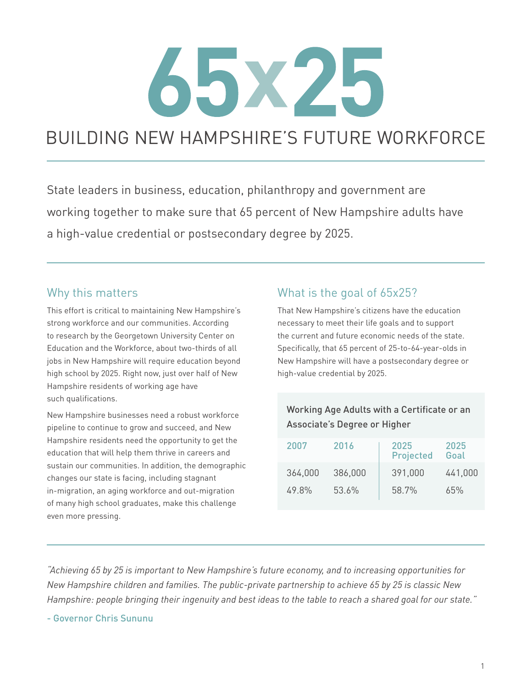# XZ5

# BUILDING NEW HAMPSHIRE'S FUTURE WORKFORCE

State leaders in business, education, philanthropy and government are working together to make sure that 65 percent of New Hampshire adults have a high-value credential or postsecondary degree by 2025.

## Why this matters

This effort is critical to maintaining New Hampshire's strong workforce and our communities. According to research by the Georgetown University Center on Education and the Workforce, about two-thirds of all jobs in New Hampshire will require education beyond high school by 2025. Right now, just over half of New Hampshire residents of working age have such qualifications.

New Hampshire businesses need a robust workforce pipeline to continue to grow and succeed, and New Hampshire residents need the opportunity to get the education that will help them thrive in careers and sustain our communities. In addition, the demographic changes our state is facing, including stagnant in-migration, an aging workforce and out-migration of many high school graduates, make this challenge even more pressing.

# What is the goal of 65x25?

That New Hampshire's citizens have the education necessary to meet their life goals and to support the current and future economic needs of the state. Specifically, that 65 percent of 25-to-64-year-olds in New Hampshire will have a postsecondary degree or high-value credential by 2025.

## Working Age Adults with a Certificate or an Associate's Degree or Higher

| 2007    | 2016    | 2025<br><b>Projected</b> | 2025<br>Goal |
|---------|---------|--------------------------|--------------|
| 364,000 | 386,000 | 391,000                  | 441,000      |
| 49.8%   | 53.6%   | 58.7%                    | 65%          |

*"Achieving 65 by 25 is important to New Hampshire's future economy, and to increasing opportunities for New Hampshire children and families. The public-private partnership to achieve 65 by 25 is classic New Hampshire: people bringing their ingenuity and best ideas to the table to reach a shared goal for our state."*

- Governor Chris Sununu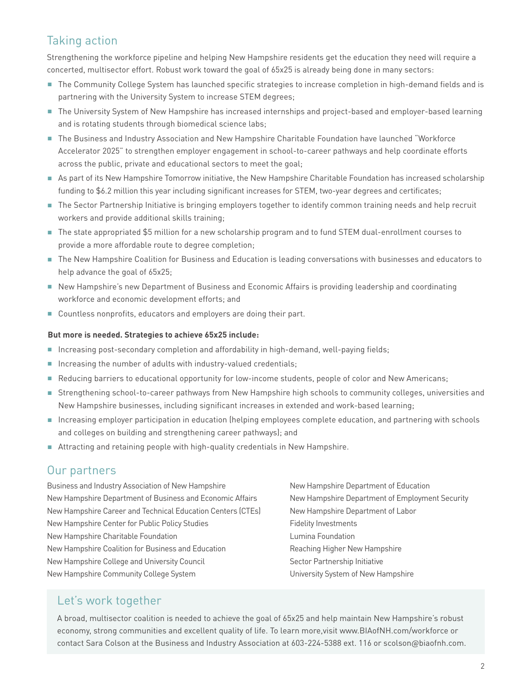## Taking action

Strengthening the workforce pipeline and helping New Hampshire residents get the education they need will require a concerted, multisector effort. Robust work toward the goal of 65x25 is already being done in many sectors:

- The Community College System has launched specific strategies to increase completion in high-demand fields and is partnering with the University System to increase STEM degrees;
- The University System of New Hampshire has increased internships and project-based and employer-based learning and is rotating students through biomedical science labs;
- The Business and Industry Association and New Hampshire Charitable Foundation have launched "Workforce Accelerator 2025" to strengthen employer engagement in school-to-career pathways and help coordinate efforts across the public, private and educational sectors to meet the goal;
- As part of its New Hampshire Tomorrow initiative, the New Hampshire Charitable Foundation has increased scholarship funding to \$6.2 million this year including significant increases for STEM, two-year degrees and certificates;
- n The Sector Partnership Initiative is bringing employers together to identify common training needs and help recruit workers and provide additional skills training;
- The state appropriated \$5 million for a new scholarship program and to fund STEM dual-enrollment courses to provide a more affordable route to degree completion;
- $\blacksquare$  The New Hampshire Coalition for Business and Education is leading conversations with businesses and educators to help advance the goal of 65x25;
- **New Hampshire's new Department of Business and Economic Affairs is providing leadership and coordinating** workforce and economic development efforts; and
- Countless nonprofits, educators and employers are doing their part.

#### **But more is needed. Strategies to achieve 65x25 include:**

- n Increasing post-secondary completion and affordability in high-demand, well-paying fields;
- n Increasing the number of adults with industry-valued credentials;
- n Reducing barriers to educational opportunity for low-income students, people of color and New Americans;
- Strengthening school-to-career pathways from New Hampshire high schools to community colleges, universities and New Hampshire businesses, including significant increases in extended and work-based learning;
- n Increasing employer participation in education (helping employees complete education, and partnering with schools and colleges on building and strengthening career pathways); and
- Attracting and retaining people with high-quality credentials in New Hampshire.

## Our partners

Business and Industry Association of New Hampshire New Hampshire Department of Business and Economic Affairs New Hampshire Career and Technical Education Centers (CTEs) New Hampshire Center for Public Policy Studies New Hampshire Charitable Foundation New Hampshire Coalition for Business and Education New Hampshire College and University Council New Hampshire Community College System

New Hampshire Department of Education New Hampshire Department of Employment Security New Hampshire Department of Labor Fidelity Investments Lumina Foundation Reaching Higher New Hampshire Sector Partnership Initiative University System of New Hampshire

## Let's work together

A broad, multisector coalition is needed to achieve the goal of 65x25 and help maintain New Hampshire's robust economy, strong communities and excellent quality of life. To learn more,visit www.BIAofNH.com/workforce or contact Sara Colson at the Business and Industry Association at 603-224-5388 ext. 116 or scolson@biaofnh.com.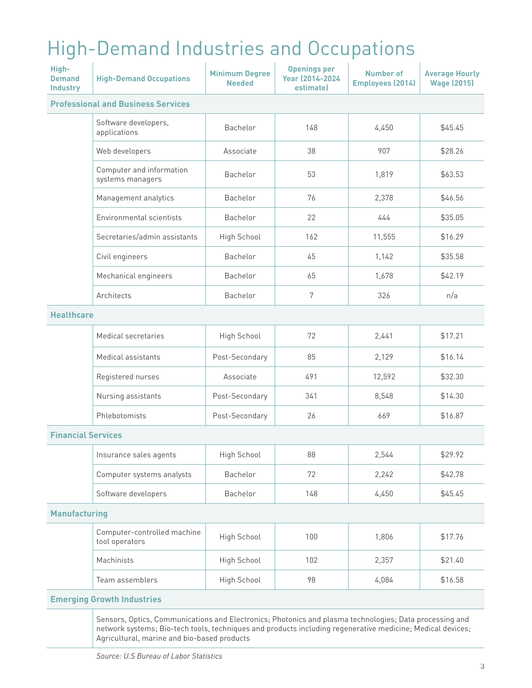# High-Demand Industries and Occupations

| High-<br><b>Demand</b><br><b>Industry</b> | <b>High-Demand Occupations</b>                | <b>Minimum Degree</b><br><b>Needed</b> | <b>Openings per</b><br><b>Year (2014-2024)</b><br><b>estimatel</b> | <b>Number of</b><br><b>Employees (2014)</b> | <b>Average Hourly</b><br><b>Wage (2015)</b> |
|-------------------------------------------|-----------------------------------------------|----------------------------------------|--------------------------------------------------------------------|---------------------------------------------|---------------------------------------------|
|                                           | <b>Professional and Business Services</b>     |                                        |                                                                    |                                             |                                             |
|                                           | Software developers,<br>applications          | Bachelor                               | 148                                                                | 4,450                                       | \$45.45                                     |
|                                           | Web developers                                | Associate                              | 38                                                                 | 907                                         | \$28.26                                     |
|                                           | Computer and information<br>systems managers  | Bachelor                               | 53                                                                 | 1,819                                       | \$63.53                                     |
|                                           | Management analytics                          | Bachelor                               | 76                                                                 | 2,378                                       | \$46.56                                     |
|                                           | <b>Environmental scientists</b>               | Bachelor                               | 22                                                                 | 444                                         | \$35.05                                     |
|                                           | Secretaries/admin assistants                  | High School                            | 162                                                                | 11,555                                      | \$16.29                                     |
|                                           | Civil engineers                               | Bachelor                               | 45                                                                 | 1,142                                       | \$35.58                                     |
|                                           | Mechanical engineers                          | Bachelor                               | 65                                                                 | 1,678                                       | \$42.19                                     |
|                                           | Architects                                    | Bachelor                               | 7                                                                  | 326                                         | n/a                                         |
| <b>Healthcare</b>                         |                                               |                                        |                                                                    |                                             |                                             |
|                                           | Medical secretaries                           | High School                            | 72                                                                 | 2,441                                       | \$17.21                                     |
|                                           | Medical assistants                            | Post-Secondary                         | 85                                                                 | 2,129                                       | \$16.14                                     |
|                                           | Registered nurses                             | Associate                              | 491                                                                | 12,592                                      | \$32.30                                     |
|                                           | Nursing assistants                            | Post-Secondary                         | 341                                                                | 8,548                                       | \$14.30                                     |
|                                           | Phlebotomists                                 | Post-Secondary                         | 26                                                                 | 669                                         | \$16.87                                     |
| <b>Financial Services</b>                 |                                               |                                        |                                                                    |                                             |                                             |
|                                           | Insurance sales agents                        | High School                            | 88                                                                 | 2,544                                       | \$29.92                                     |
|                                           | Computer systems analysts                     | Bachelor                               | 72                                                                 | 2,242                                       | \$42.78                                     |
|                                           | Software developers                           | Bachelor                               | 148                                                                | 4,450                                       | \$45.45                                     |
| <b>Manufacturing</b>                      |                                               |                                        |                                                                    |                                             |                                             |
|                                           | Computer-controlled machine<br>tool operators | High School                            | 100                                                                | 1,806                                       | \$17.76                                     |
|                                           | Machinists                                    | High School                            | 102                                                                | 2,357                                       | \$21.40                                     |
|                                           | Team assemblers                               | High School                            | 98                                                                 | 4,084                                       | \$16.58                                     |
|                                           | <b>Emerging Growth Industries</b>             |                                        |                                                                    |                                             |                                             |

Sensors, Optics, Communications and Electronics; Photonics and plasma technologies; Data processing and network systems; Bio-tech tools, techniques and products including regenerative medicine; Medical devices; Agricultural, marine and bio-based products